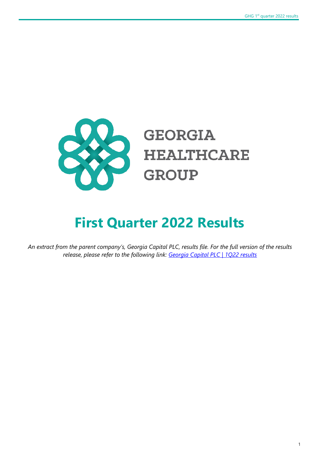

# **First Quarter 2022 Results**

*An extract from the parent company's, Georgia Capital PLC, results file. For the full version of the results release, please refer to the following link: [Georgia Capital PLC | 1Q22](https://georgiacapital.ge/sites/default/files/2022-05/Georgia%20Capital%20PLC%201Q22%20Results_0.pdf) results*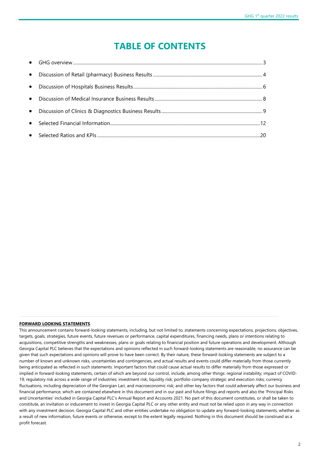# **TABLE OF CONTENTS**

#### **FORWARD LOOKING STATEMENTS**

This announcement contains forward-looking statements, including, but not limited to, statements concerning expectations, projections, objectives, targets, goals, strategies, future events, future revenues or performance, capital expenditures, financing needs, plans or intentions relating to acquisitions, competitive strengths and weaknesses, plans or goals relating to financial position and future operations and development. Although Georgia Capital PLC believes that the expectations and opinions reflected in such forward-looking statements are reasonable, no assurance can be given that such expectations and opinions will prove to have been correct. By their nature, these forward-looking statements are subject to a number of known and unknown risks, uncertainties and contingencies, and actual results and events could differ materially from those currently being anticipated as reflected in such statements. Important factors that could cause actual results to differ materially from those expressed or implied in forward-looking statements, certain of which are beyond our control, include, among other things: regional instability; impact of COVID-19; regulatory risk across a wide range of industries; investment risk; liquidity risk; portfolio company strategic and execution risks; currency fluctuations, including depreciation of the Georgian Lari, and macroeconomic risk; and other key factors that could adversely affect our business and financial performance, which are contained elsewhere in this document and in our past and future filings and reports and also the 'Principal Risks and Uncertainties' included in Georgia Capital PLC's Annual Report and Accounts 2021. No part of this document constitutes, or shall be taken to constitute, an invitation or inducement to invest in Georgia Capital PLC or any other entity and must not be relied upon in any way in connection with any investment decision. Georgia Capital PLC and other entities undertake no obligation to update any forward-looking statements, whether as a result of new information, future events or otherwise, except to the extent legally required. Nothing in this document should be construed as a profit forecast.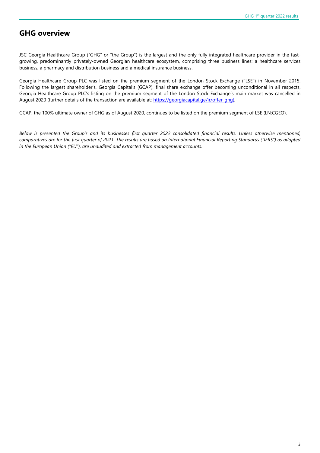### **GHG overview**

JSC Georgia Healthcare Group ("GHG" or "the Group") is the largest and the only fully integrated healthcare provider in the fastgrowing, predominantly privately-owned Georgian healthcare ecosystem, comprising three business lines: a healthcare services business, a pharmacy and distribution business and a medical insurance business.

Georgia Healthcare Group PLC was listed on the premium segment of the London Stock Exchange ("LSE") in November 2015. Following the largest shareholder's, Georgia Capital's (GCAP), final share exchange offer becoming unconditional in all respects, Georgia Healthcare Group PLC's listing on the premium segment of the London Stock Exchange's main market was cancelled in August 2020 (further details of the transaction are available at: [https://georgiacapital.ge/ir/offer-ghg\)](https://georgiacapital.ge/ir/offer-ghg),

GCAP, the 100% ultimate owner of GHG as of August 2020, continues to be listed on the premium segment of LSE (LN:CGEO).

*Below is presented the Group's and its businesses first quarter 2022 consolidated financial results. Unless otherwise mentioned, comparatives are for the first quarter of 2021. The results are based on International Financial Reporting Standards ("IFRS") as adopted in the European Union ("EU"), are unaudited and extracted from management accounts.*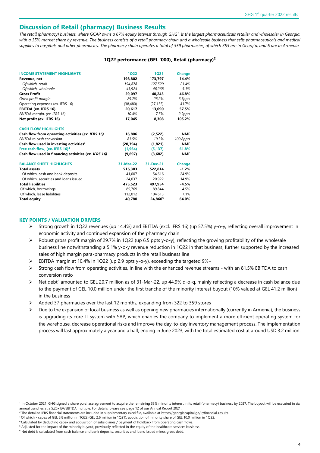### **Discussion of Retail (pharmacy) Business Results**

The retail (pharmacy) business, where GCAP owns a 67% equity interest through GHG<sup>1</sup>, is the largest pharmaceuticals retailer and wholesaler in Georgia, *with a 35% market share by revenue. The business consists of a retail pharmacy chain and a wholesale business that sells pharmaceuticals and medical supplies to hospitals and other pharmacies. The pharmacy chain operates a total of 359 pharmacies, of which 353 are in Georgia, and 6 are in Armenia.* 

#### **1Q22 performance (GEL '000), Retail (pharmacy)<sup>2</sup>**

| <b>INCOME STATEMENT HIGHLIGHTS</b>                   | 1022      | 1021                | <b>Change</b> |
|------------------------------------------------------|-----------|---------------------|---------------|
| Revenue, net                                         | 198.802   | 173.797             | 14.4%         |
| Of which, retail                                     | 154.878   | 127,529             | 21.4%         |
| Of which, wholesale                                  | 43.924    | 46,268              | $-5.1%$       |
| <b>Gross Profit</b>                                  | 59,097    | 40.245              | 46.8%         |
| Gross profit margin                                  | 29.7%     | 23.2%               | 6.5ppts       |
| Operating expenses (ex. IFRS 16)                     | (38, 480) | (27, 155)           | 41.7%         |
| EBITDA (ex. IFRS 16)                                 | 20,617    | 13,090              | 57.5%         |
| EBITDA margin, (ex. IFRS 16)                         | 10.4%     | 7.5%                | 2.9ppts       |
| Net profit (ex. IFRS 16)                             | 17,045    | 8,308               | 105.2%        |
| <b>CASH FLOW HIGHLIGHTS</b>                          |           |                     |               |
| Cash flow from operating activities (ex. IFRS 16)    | 16,806    | (2,522)             | <b>NMF</b>    |
| <b>EBITDA</b> to cash conversion                     | 81.5%     | $-19.3%$            | 100.8ppts     |
| Cash flow used in investing activities <sup>3</sup>  | (20, 394) | (1,821)             | <b>NMF</b>    |
| Free cash flow, (ex. IFRS 16) <sup>4</sup>           | (1, 964)  | (5, 137)            | 61.8%         |
| Cash flow used in financing activities (ex. IFRS 16) | (9,697)   | (3,682)             | <b>NMF</b>    |
| <b>BALANCE SHEET HIGHLIGHTS</b>                      | 31-Mar-22 | 31-Dec-21           | <b>Change</b> |
| <b>Total assets</b>                                  | 516,303   | 522,814             | $-1.2%$       |
| Of which, cash and bank deposits                     | 41,007    | 54,616              | $-24.9%$      |
| Of which, securities and loans issued                | 24,037    | 20,922              | 14.9%         |
| <b>Total liabilities</b>                             | 475.523   | 497.954             | $-4.5%$       |
| Of which, borrowings                                 | 85,769    | 89.844              | $-4.5%$       |
| Of which, lease liabilities                          | 112,012   | 104,613             | 7.1%          |
| <b>Total equity</b>                                  | 40.780    | 24,860 <sup>5</sup> | 64.0%         |

#### **KEY POINTS / VALUATION DRIVERS**

- ➢ Strong growth in 1Q22 revenues (up 14.4%) and EBITDA (excl. IFRS 16) (up 57.5%) y-o-y, reflecting overall improvement in economic activity and continued expansion of the pharmacy chain
- $\triangleright$  Robust gross profit margin of 29.7% in 1Q22 (up 6.5 ppts y-o-y), reflecting the growing profitability of the wholesale business line notwithstanding a 5.1% y-o-y revenue reduction in 1Q22 in that business, further supported by the increased sales of high margin para-pharmacy products in the retail business line
- ➢ EBITDA margin at 10.4% in 1Q22 (up 2.9 ppts y-o-y), exceeding the targeted 9%+
- $\triangleright$  Strong cash flow from operating activities, in line with the enhanced revenue streams with an 81.5% EBITDA to cash conversion ratio
- Net debt<sup>6</sup> amounted to GEL 20.7 million as of 31-Mar-22, up 44.9% q-o-q, mainly reflecting a decrease in cash balance due to the payment of GEL 10.0 million under the first tranche of the minority interest buyout (10% valued at GEL 41.2 million) in the business
- ➢ Added 37 pharmacies over the last 12 months, expanding from 322 to 359 stores
- ➢ Due to the expansion of local business as well as opening new pharmacies internationally (currently in Armenia), the business is upgrading its core IT system with SAP, which enables the company to implement a more efficient operating system for the warehouse, decrease operational risks and improve the day-to-day inventory management process. The implementation process will last approximately a year and a half, ending in June 2023, with the total estimated cost at around USD 3.2 million.

<sup>&</sup>lt;sup>1</sup> In October 2021, GHG signed a share purchase agreement to acquire the remaining 33% minority interest in its retail (pharmacy) business by 2027. The buyout will be executed in six annual tranches at a 5.25x EV/EBITDA multiple. For details, please see page 12 of our Annual Report 2021.

<sup>&</sup>lt;sup>2</sup> The detailed IFRS financial statements are included in supplementary excel file, available a[t https://georgiacapital.ge/ir/financial-results.](https://georgiacapital.ge/ir/financial-results)

<sup>3</sup> Of which - capex of GEL 8.8 million in 1Q22 (GEL 2.6 million in 1Q21); acquisition of minority share of GEL 10.0 million in 1Q22.

<sup>4</sup> Calculated by deducting capex and acquisition of subsidiaries / payment of holdback from operating cash flows.

<sup>&</sup>lt;sup>5</sup> Adjusted for the impact of the minority buyout, previously reflected in the equity of the healthcare services business.

 $6$  Net debt is calculated from cash balance and bank deposits, securities and loans issued minus gross debt.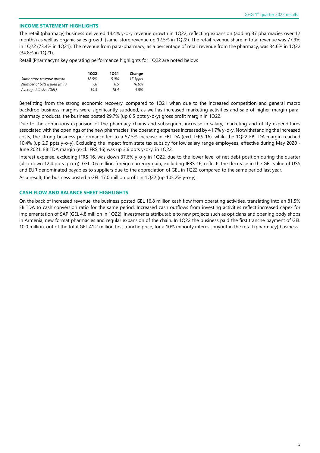#### **INCOME STATEMENT HIGHLIGHTS**

The retail (pharmacy) business delivered 14.4% y-o-y revenue growth in 1Q22, reflecting expansion (adding 37 pharmacies over 12 months) as well as organic sales growth (same-store revenue up 12.5% in 1Q22). The retail revenue share in total revenue was 77.9% in 1Q22 (73.4% in 1Q21). The revenue from para-pharmacy, as a percentage of retail revenue from the pharmacy, was 34.6% in 1Q22 (34.8% in 1Q21).

Retail (Pharmacy)'s key operating performance highlights for 1Q22 are noted below:

|                              | 1022  | 1021  | Change   |
|------------------------------|-------|-------|----------|
| Same store revenue growth    | 12.5% | -5.0% | 17.5ppts |
| Number of bills issued (mln) | 7.6   | 6.5   | 16.6%    |
| Average bill size (GEL)      | 19.3  | 18.4  | 4.8%     |

Benefitting from the strong economic recovery, compared to 1Q21 when due to the increased competition and general macro backdrop business margins were significantly subdued, as well as increased marketing activities and sale of higher-margin parapharmacy products, the business posted 29.7% (up 6.5 ppts y-o-y) gross profit margin in 1Q22.

Due to the continuous expansion of the pharmacy chains and subsequent increase in salary, marketing and utility expenditures associated with the openings of the new pharmacies, the operating expenses increased by 41.7% y-o-y. Notwithstanding the increased costs, the strong business performance led to a 57.5% increase in EBITDA (excl. IFRS 16), while the 1Q22 EBITDA margin reached 10.4% (up 2.9 ppts y-o-y). Excluding the impact from state tax subsidy for low salary range employees, effective during May 2020 - June 2021, EBITDA margin (excl. IFRS 16) was up 3.6 ppts y-o-y, in 1Q22.

Interest expense, excluding IFRS 16, was down 37.6% y-o-y in 1Q22, due to the lower level of net debt position during the quarter (also down 12.4 ppts q-o-q). GEL 0.6 million foreign currency gain, excluding IFRS 16, reflects the decrease in the GEL value of US\$ and EUR denominated payables to suppliers due to the appreciation of GEL in 1Q22 compared to the same period last year.

As a result, the business posted a GEL 17.0 million profit in 1Q22 (up 105.2% y-o-y).

#### **CASH FLOW AND BALANCE SHEET HIGHLIGHTS**

On the back of increased revenue, the business posted GEL 16.8 million cash flow from operating activities, translating into an 81.5% EBITDA to cash conversion ratio for the same period. Increased cash outflows from investing activities reflect increased capex for implementation of SAP (GEL 4.8 million in 1Q22), investments attributable to new projects such as opticians and opening body shops in Armenia, new format pharmacies and regular expansion of the chain. In 1Q22 the business paid the first tranche payment of GEL 10.0 million, out of the total GEL 41.2 million first tranche price, for a 10% minority interest buyout in the retail (pharmacy) business.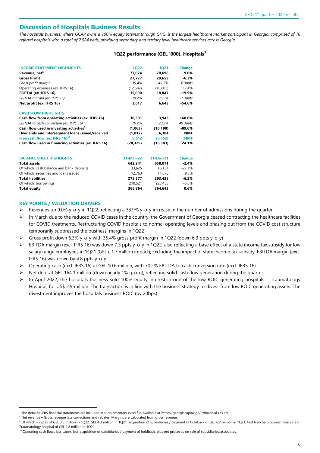### **Discussion of Hospitals Business Results**

*The hospitals business, where GCAP owns a 100% equity interest through GHG, is the largest healthcare market participant in Georgia, comprised of 16 referral hospitals with a total of 2,524 beds, providing secondary and tertiary level healthcare services across Georgia.* 

#### **1Q22 performance (GEL '000), Hospitals<sup>7</sup>**

| <b>INCOME STATEMENT HIGHLIGHTS</b>                   | <b>1Q22</b> | <b>1Q21</b> | <b>Change</b> |
|------------------------------------------------------|-------------|-------------|---------------|
| Revenue, net <sup>8</sup>                            | 77,074      | 70,696      | $9.0\%$       |
| <b>Gross Profit</b>                                  | 27,777      | 29,652      | $-6.3%$       |
| Gross profit margin                                  | 35.4%       | 41.7%       | $-6.3$ ppts   |
| Operating expenses (ex. IFRS 16)                     | (12,687)    | (10, 805)   | 17.4%         |
| EBITDA (ex. IFRS 16)                                 | 15,090      | 18,847      | $-19.9%$      |
| EBITDA margin (ex. IFRS 16)                          | 19.2%       | 26.5%       | $-7.3$ ppts   |
| Net profit (ex. IFRS 16)                             | 3,017       | 6,643       | $-54.6%$      |
| <b>CASH FLOW HIGHLIGHTS</b>                          |             |             |               |
| Cash flow from operating activities (ex. IFRS 16)    | 10,591      | 3,943       | 168.6%        |
| EBITDA to cash conversion (ex. IFRS 16)              | 70.2%       | 20.9%       | 49.3ppts      |
| Cash flow used in investing activities <sup>9</sup>  | (1,063)     | (10, 190)   | $-89.6%$      |
| Dividends and intersegment loans issued/received     | (1, 817)    | 6,304       | <b>NMF</b>    |
| Free cash flow (ex. IFRS 16) <sup>10</sup>           | 8,612       | (6, 552)    | <b>NMF</b>    |
| Cash flow used in financing activities (ex. IFRS 16) | (20, 329)   | (16, 383)   | 24.1%         |
| <b>BALANCE SHEET HIGHLIGHTS</b>                      | 31-Mar-22   | 31-Dec-21   | <b>Change</b> |
| <b>Total assets</b>                                  | 642,241     | 658,071     | $-2.4%$       |
| Of which, cash balance and bank deposits             | 33,625      | 46,131      | $-27.1%$      |
| Of which, securities and loans issued                | 12,763      | 11,678      | 9.3%          |
| <b>Total liabilities</b>                             | 275,377     | 293,428     | $-6.2%$       |
| Of which, borrowings                                 | 210,521     | 223,433     | $-5.8%$       |
| <b>Total equity</b>                                  | 366,864     | 364,643     | 0.6%          |

#### **KEY POINTS / VALUATION DRIVERS**

- Revenues up 9.0% y-o-y in 1Q22, reflecting a 33.9% y-o-y increase in the number of admissions during the quarter
- ➢ In March due to the reduced COVID cases in the country, the Government of Georgia ceased contracting the healthcare facilities for COVID treatments. Restructuring COVID hospitals to normal operating levels and phasing out from the COVID cost structure temporarily suppressed the business' margins in 1Q22
- Gross profit down 6.3% y-o-y with 35.4% gross profit margin in 1Q22 (down 6.3 ppts y-o-y)
- ➢ EBITDA margin (excl. IFRS 16) was down 7.3 ppts y-o-y in 1Q22, also reflecting a base effect of a state income tax subsidy for low salary range employees in 1Q21 (GEL c.1.7 million impact); Excluding the impact of state income tax subsidy, EBITDA margin (excl. IFRS 16) was down by 4.8 ppts y-o-y
- ➢ Operating cash (excl. IFRS 16) at GEL 10.6 million, with 70.2% EBITDA to cash conversion rate (excl. IFRS 16)
- Net debt at GEL 164.1 million (down nearly 1% q-o-q), reflecting solid cash flow generation during the quarter
- ➢ In April 2022, the hospitals business sold 100% equity interest in one of the low ROIC generating hospitals Traumatology Hospital, for US\$ 2.9 million. The transaction is in line with the business strategy to divest from low ROIC generating assets. The divestment improves the hospitals business ROIC (by 20bps)

<sup>7</sup> The detailed IFRS financial statements are included in supplementary excel file, available at https://georgiacapital.ge/ir/financial-results.

<sup>8</sup> Net revenue – Gross revenue less corrections and rebates. Margins are calculated from gross revenue

<sup>9</sup> Of which – capex of GEL 3.8 million in 1Q22, GEL 4.3 million in 1Q21; acquisition of subsidiaries / payment of holdback of GEL 6.2 million in 1Q21; first tranche proceeds from sale of Traumatology hospital of GEL 1.8 million in 1Q22.

<sup>&</sup>lt;sup>10</sup> Operating cash flows less capex, less acquisition of subsidiaries / payment of holdback, plus net proceeds on sale of subsidiaries/associates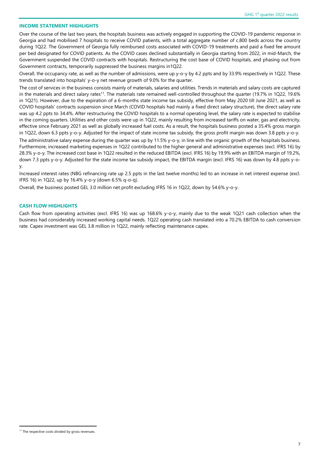#### **INCOME STATEMENT HIGHLIGHTS**

Over the course of the last two years, the hospitals business was actively engaged in supporting the COVID-19 pandemic response in Georgia and had mobilised 7 hospitals to receive COVID patients, with a total aggregate number of c.800 beds across the country during 1Q22. The Government of Georgia fully reimbursed costs associated with COVID-19 treatments and paid a fixed fee amount per bed designated for COVID patients. As the COVID cases declined substantially in Georgia starting from 2022, in mid-March, the Government suspended the COVID contracts with hospitals. Restructuring the cost base of COVID hospitals, and phasing out from Government contracts, temporarily suppressed the business margins in1Q22.

Overall, the occupancy rate, as well as the number of admissions, were up y-o-y by 4.2 ppts and by 33.9% respectively in 1Q22. These trends translated into hospitals' y-o-y net revenue growth of 9.0% for the quarter.

The cost of services in the business consists mainly of materials, salaries and utilities. Trends in materials and salary costs are captured in the materials and direct salary rates<sup>11</sup>. The materials rate remained well-controlled throughout the quarter (19.7% in 1Q22, 19.6% in 1Q21). However, due to the expiration of a 6-months state income tax subsidy, effective from May 2020 till June 2021, as well as COVID hospitals' contracts suspension since March (COVID hospitals had mainly a fixed direct salary structure), the direct salary rate was up 4.2 ppts to 34.4%. After restructuring the COVID hospitals to a normal operating level, the salary rate is expected to stabilise in the coming quarters. Utilities and other costs were up in 1Q22, mainly resulting from increased tariffs on water, gas and electricity, effective since February 2021 as well as globally increased fuel costs. As a result, the hospitals business posted a 35.4% gross margin in 1Q22, down 6.3 ppts y-o-y. Adjusted for the impact of state income tax subsidy, the gross profit margin was down 3.8 ppts y-o-y.

The administrative salary expense during the quarter was up by 11.5% y-o-y, in line with the organic growth of the hospitals business. Furthermore, increased marketing expenses in 1Q22 contributed to the higher general and administrative expenses (excl. IFRS 16) by 28.3% y-o-y. The increased cost base in 1Q22 resulted in the reduced EBITDA (excl. IFRS 16) by 19.9% with an EBITDA margin of 19.2%, down 7.3 ppts y-o-y. Adjusted for the state income tax subsidy impact, the EBITDA margin (excl. IFRS 16) was down by 4.8 ppts y-oy.

Increased interest rates (NBG refinancing rate up 2.5 ppts in the last twelve months) led to an increase in net interest expense (excl. IFRS 16) in 1Q22, up by 16.4% y-o-y (down 6.5% q-o-q).

Overall, the business posted GEL 3.0 million net profit excluding IFRS 16 in 1Q22, down by 54.6% y-o-y.

#### **CASH FLOW HIGHLIGHTS**

Cash flow from operating activities (excl. IFRS 16) was up 168.6% y-o-y, mainly due to the weak 1Q21 cash collection when the business had considerably increased working capital needs. 1Q22 operating cash translated into a 70.2% EBITDA to cash conversion rate. Capex investment was GEL 3.8 million in 1Q22, mainly reflecting maintenance capex.

<sup>&</sup>lt;sup>11</sup> The respective costs divided by gross revenues.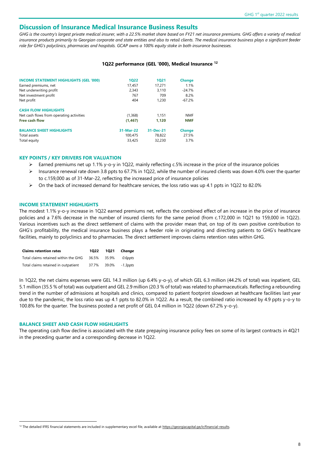### **Discussion of Insurance Medical Insurance Business Results**

GHG is the country's largest private medical insurer, with a 22.5% market share based on FY21 net insurance premiums. GHG offers a variety of medical insurance products primarily to Georgian corporate and state entities and also to retail clients. The medical insurance business plays a significant feeder *role for GHG's polyclinics, pharmacies and hospitals. GCAP owns a 100% equity stake in both insurance businesses.*

#### **1Q22 performance (GEL '000), Medical Insurance <sup>12</sup>**

| <b>INCOME STATEMENT HIGHLIGHTS (GEL '000)</b> | 1022      | 1021      | <b>Change</b> |
|-----------------------------------------------|-----------|-----------|---------------|
| Earned premiums, net                          | 17.457    | 17.271    | 1.1%          |
| Net underwriting profit                       | 2.343     | 3.110     | $-24.7%$      |
| Net investment profit                         | 767       | 709       | 8.2%          |
| Net profit                                    | 404       | 1.230     | $-67.2%$      |
| <b>CASH FLOW HIGHLIGHTS</b>                   |           |           |               |
| Net cash flows from operating activities      | (1,368)   | 1.151     | <b>NMF</b>    |
| <b>Free cash flow</b>                         | (1, 467)  | 1.120     | <b>NMF</b>    |
| <b>BALANCE SHEET HIGHLIGHTS</b>               | 31-Mar-22 | 31-Dec-21 | <b>Change</b> |
| Total assets                                  | 100.475   | 78.822    | 27.5%         |
| Total equity                                  | 33,425    | 32,230    | 3.7%          |

#### **KEY POINTS / KEY DRIVERS FOR VALUATION**

- ➢ Earned premiums net up 1.1% y-o-y in 1Q22, mainly reflecting c.5% increase in the price of the insurance policies
- ➢ Insurance renewal rate down 3.8 ppts to 67.7% in 1Q22, while the number of insured clients was down 4.0% over the quarter to c.159,000 as of 31-Mar-22, reflecting the increased price of insurance policies
- ➢ On the back of increased demand for healthcare services, the loss ratio was up 4.1 ppts in 1Q22 to 82.0%

#### **INCOME STATEMENT HIGHLIGHTS**

The modest 1.1% y-o-y increase in 1Q22 earned premiums net, reflects the combined effect of an increase in the price of insurance policies and a 7.6% decrease in the number of insured clients for the same period (from c.172,000 in 1Q21 to 159,000 in 1Q22). Various incentives such as the direct settlement of claims with the provider mean that, on top of its own positive contribution to GHG's profitability, the medical insurance business plays a feeder role in originating and directing patients to GHG's healthcare facilities, mainly to polyclinics and to pharmacies. The direct settlement improves claims retention rates within GHG.

| <b>Claims retention rates</b>        | 1022  | 1021        | Change   |
|--------------------------------------|-------|-------------|----------|
| Total claims retained within the GHG |       | 36.5% 35.9% | 0.6ppts  |
| Total claims retained in outpatient  | 37.7% | 39.0%       | -1.3ppts |

In 1Q22, the net claims expenses were GEL 14.3 million (up 6.4% y-o-y), of which GEL 6.3 million (44.2% of total) was inpatient, GEL 5.1 million (35.5 % of total) was outpatient and GEL 2.9 million (20.3 % of total) was related to pharmaceuticals. Reflecting a rebounding trend in the number of admissions at hospitals and clinics, compared to patient footprint slowdown at healthcare facilities last year due to the pandemic, the loss ratio was up 4.1 ppts to 82.0% in 1Q22. As a result, the combined ratio increased by 4.9 ppts y-o-y to 100.8% for the quarter. The business posted a net profit of GEL 0.4 million in 1Q22 (down 67.2% y-o-y).

#### **BALANCE SHEET AND CASH FLOW HIGHLIGHTS**

The operating cash flow decline is associated with the state prepaying insurance policy fees on some of its largest contracts in 4Q21 in the preceding quarter and a corresponding decrease in 1Q22.

<sup>&</sup>lt;sup>12</sup> The detailed IFRS financial statements are included in supplementary excel file, available a[t https://georgiacapital.ge/ir/financial-results.](https://georgiacapital.ge/ir/financial-results)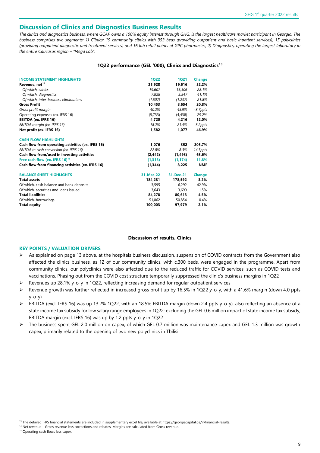### **Discussion of Clinics and Diagnostics Business Results**

*The clinics and diagnostics business, where GCAP owns a 100% equity interest through GHG, is the largest healthcare market participant in Georgia. The business comprises two segments: 1) Clinics: 19 community clinics with 353 beds (providing outpatient and basic inpatient services); 15 polyclinics (providing outpatient diagnostic and treatment services) and 16 lab retail points at GPC pharmacies; 2) Diagnostics, operating the largest laboratory in the entire Caucasus region – "Mega Lab".* 

#### **1Q22 performance (GEL '000), Clinics and Diagnostics<sup>13</sup>**

| <b>INCOME STATEMENT HIGHLIGHTS</b>                | 1022      | <b>1Q21</b> | <b>Change</b> |
|---------------------------------------------------|-----------|-------------|---------------|
| Revenue, net <sup>14</sup>                        | 25.928    | 19,616      | 32.2%         |
| Of which, clinics                                 | 19.607    | 15,306      | 28.1%         |
| Of which, diagnostics                             | 7.828     | 5,547       | 41.1%         |
| Of which, inter-business eliminations             | (1,507)   | (1,237)     | 21.8%         |
| <b>Gross Profit</b>                               | 10,453    | 8,654       | 20.8%         |
| Gross profit margin                               | 40.2%     | 43.9%       | $-3.7$ ppts   |
| Operating expenses (ex. IFRS 16)                  | (5, 733)  | (4, 438)    | 29.2%         |
| EBITDA (ex. IFRS 16)                              | 4.720     | 4.216       | 12.0%         |
| EBITDA margin (ex. IFRS 16)                       | 18.2%     | 21.4%       | $-3.2$ ppts   |
| Net profit (ex. IFRS 16)                          | 1,582     | 1,077       | 46.9%         |
| <b>CASH FLOW HIGHLIGHTS</b>                       |           |             |               |
| Cash flow from operating activities (ex. IFRS 16) | 1.076     | 352         | 205.7%        |
| EBITDA to cash conversion (ex. IFRS 16)           | 22.8%     | 8.3%        | 14.5ppts      |
| Cash flow from/used in investing activities       | (2, 442)  | (1, 493)    | 63.6%         |
| Free cash flow (ex. IFRS 16) <sup>15</sup>        | (1,313)   | (1, 174)    | 11.8%         |
| Cash flow from financing activities (ex. IFRS 16) | (1, 344)  | 8,225       | <b>NMF</b>    |
| <b>BALANCE SHEET HIGHLIGHTS</b>                   | 31-Mar-22 | 31-Dec-21   | <b>Change</b> |
| <b>Total assets</b>                               | 184,281   | 178,592     | 3.2%          |
| Of which, cash balance and bank deposits          | 3,595     | 6,292       | $-42.9%$      |
| Of which, securities and loans issued             | 3,643     | 3.699       | $-1.5%$       |
| <b>Total liabilities</b>                          | 84,278    | 80,613      | 4.5%          |
| Of which, borrowings                              | 51,062    | 50,854      | 0.4%          |
| <b>Total equity</b>                               | 100,003   | 97,979      | 2.1%          |

#### **Discussion of results, Clinics**

#### **KEY POINTS / VALUATION DRIVERS**

- As explained on page 13 above, at the hospitals business discussion, suspension of COVID contracts from the Government also affected the clinics business, as 12 of our community clinics, with c.300 beds, were engaged in the programme. Apart from community clinics, our polyclinics were also affected due to the reduced traffic for COVID services, such as COVID tests and vaccinations. Phasing out from the COVID cost structure temporarily suppressed the clinic's business margins in 1Q22
- Revenues up 28.1% y-o-y in 1Q22, reflecting increasing demand for regular outpatient services
- Revenue growth was further reflected in increased gross profit up by 16.5% in 1Q22 y-o-y, with a 41.6% margin (down 4.0 ppts y-o-y)
- ➢ EBITDA (excl. IFRS 16) was up 13.2% 1Q22, with an 18.5% EBITDA margin (down 2.4 ppts y-o-y), also reflecting an absence of a state income tax subsidy for low salary range employees in 1Q22; excluding the GEL 0.6 million impact of state income tax subsidy, EBITDA margin (excl. IFRS 16) was up by 1.2 ppts y-o-y in 1Q22
- ➢ The business spent GEL 2.0 million on capex, of which GEL 0.7 million was maintenance capex and GEL 1.3 million was growth capex, primarily related to the opening of two new polyclinics in Tbilisi

<sup>&</sup>lt;sup>13</sup> The detailed IFRS financial statements are included in supplementary excel file, available at https://georgiacapital.ge/ir/financial-results.

<sup>&</sup>lt;sup>14</sup> Net revenue – Gross revenue less corrections and rebates. Margins are calculated from Gross revenue.

<sup>&</sup>lt;sup>15</sup> Operating cash flows less capex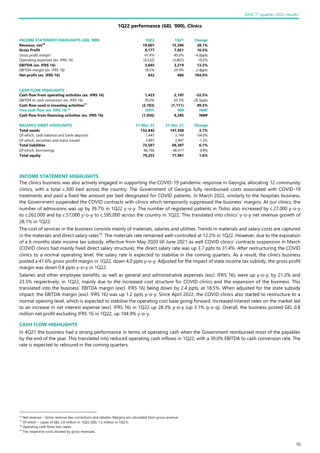#### **1Q22 performance (GEL '000), Clinics**

| <b>INCOME STATEMENT HIGHLIGHTS (GEL '000)</b>        | <b>1Q22</b> | <b>1Q21</b> | <b>Change</b> |
|------------------------------------------------------|-------------|-------------|---------------|
| Revenue, net <sup>16</sup>                           | 19,607      | 15,306      | 28.1%         |
| <b>Gross Profit</b>                                  | 8,177       | 7,021       | 16.5%         |
| Gross profit margin                                  | 41.6%       | 45.6%       | $-4.0$ ppts   |
| Operating expenses (ex. IFRS 16)                     | (4, 532)    | (3,802)     | 19.2%         |
| <b>EBITDA (ex. IFRS 16)</b>                          | 3,645       | 3,219       | 13.2%         |
| EBITDA margin (ex. IFRS 16)                          | 18.5%       | 20.9%       | $-2.4$ ppts   |
| Net profit (ex. IFRS 16)                             | 832         | 406         | 104.9%        |
| <b>CASH FLOW HIGHLIGHTS</b>                          |             |             |               |
| Cash flow from operating activities (ex. IFRS 16)    | 1,423       | 2,107       | $-32.5%$      |
| EBITDA to cash conversion (ex. IFRS 16)              | 39.0%       | 65.5%       | $-26.5$ ppts  |
| Cash flow used in investing activities <sup>17</sup> | (2, 103)    | (1, 111)    | 89.3%         |
| Free cash flow (ex. IFRS 16) <sup>18</sup>           | (607)       | 900         | <b>NMF</b>    |
| Cash flow from financing activities (ex. IFRS 16)    | (1,036)     | 8.385       | <b>NMF</b>    |
| <b>BALANCE SHEET HIGHLIGHTS</b>                      | 31-Mar-22   | 31-Dec-21   | <b>Change</b> |
| <b>Total assets</b>                                  | 152,842     | 147,368     | 3.7%          |
| Of which, cash balance and bank deposits             | 1.447       | 3,149       | $-54.0%$      |
| Of which, securities and loans issued                | 3,897       | 3,947       | $-1.3%$       |
| <b>Total liabilities</b>                             | 73,587      | 69,387      | 6.1%          |
| Of which, borrowings                                 | 46,766      | 46,417      | 0.8%          |
| <b>Total equity</b>                                  | 79,255      | 77,981      | 1.6%          |

#### **INCOME STATEMENT HIGHLIGHTS**

The clinics business was also actively engaged in supporting the COVID-19 pandemic response in Georgia, allocating 12 community clinics, with a total c.300 bed across the country. The Government of Georgia fully reimbursed costs associated with COVID-19 treatments and paid a fixed fee amount per bed designated for COVID patients. In March 2022, similarly to the hospitals business, the Government suspended the COVID contracts with clinics which temporarily suppressed the business' margins. At our clinics, the number of admissions was up by 39.7% in 1Q22 y-o-y. The number of registered patients in Tbilisi also increased by c.27,000 y-o-y to c.262,000 and by c.57,000 y-o-y to c.595,000 across the country in 1Q22. This translated into clinics' y-o-y net revenue growth of 28.1% in 1Q22.

The cost of services in the business consists mainly of materials, salaries and utilities. Trends in materials and salary costs are captured in the materials and direct salary rates<sup>19</sup>. The materials rate remained well-controlled at 12.2% in 1Q22. However, due to the expiration of a 6-months state income tax subsidy, effective from May 2020 till June 2021 as well COVID clinics' contracts suspension in March (COVID clinics had mainly fixed direct salary structure), the direct salary rate was up 3.7 ppts to 31.4%. After restructuring the COVID clinics to a normal operating level, the salary rate is expected to stabilise in the coming quarters. As a result, the clinics business posted a 41.6% gross profit margin in 1Q22, down 4.0 ppts y-o-y. Adjusted for the impact of state income tax subsidy, the gross profit margin was down 0.4 ppts y-o-y in 1Q22.

Salaries and other employee benefits, as well as general and administrative expenses (excl. IFRS 16), were up y-o-y, by 21.2% and 23.5% respectively, in 1Q22, mainly due to the increased cost structure for COVID clinics and the expansion of the business. This translated into the business' EBITDA margin (excl. IFRS 16) being down by 2.4 ppts, at 18.5%. When adjusted for the state subsidy impact, the EBITDA margin (excl. IFRS 16) was up 1.2 ppts y-o-y. Since April 2022, the COVID clinics also started to restructure to a normal opening level, which is expected to stabilise the operating cost base going forward. Increased interest rates on the market led to an increase in net interest expense (excl. IFRS 16) in 1Q22 up 28.3% y-o-y (up 3.1% q-o-q). Overall, the business posted GEL 0.8 million net profit excluding IFRS 16 in 1Q22, up 104.9% y-o-y.

#### **CASH FLOW HIGHLIGHTS**

In 4Q21 the business had a strong performance in terms of operating cash when the Government reimbursed most of the payables by the end of the year. This translated into reduced operating cash inflows in 1Q22, with a 39.0% EBITDA to cash conversion rate. The rate is expected to rebound in the coming quarters.

<sup>&</sup>lt;sup>16</sup> Net revenue – Gross revenue less corrections and rebates. Margins are calculated from gross revenue.

<sup>17</sup> Of which – capex of GEL 2.0 million in 1Q22 (GEL 1.2 million in 1Q21).

<sup>&</sup>lt;sup>18</sup> Operating cash flows less capex.

<sup>&</sup>lt;sup>19</sup> The respective costs divided by gross revenues.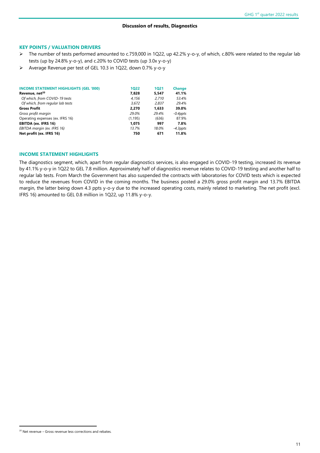#### **Discussion of results, Diagnostics**

#### **KEY POINTS / VALUATION DRIVERS**

- ➢ The number of tests performed amounted to c.759,000 in 1Q22, up 42.2% y-o-y, of which, c.80% were related to the regular lab tests (up by 24.8% y-o-y), and c.20% to COVID tests (up 3.0x y-o-y)
- ➢ Average Revenue per test of GEL 10.3 in 1Q22, down 0.7% y-o-y

| <b>INCOME STATEMENT HIGHLIGHTS (GEL '000)</b> | 1022     | 1021  | <b>Change</b> |
|-----------------------------------------------|----------|-------|---------------|
| Revenue, net <sup>20</sup>                    | 7,828    | 5,547 | 41.1%         |
| Of which, from COVID-19 tests                 | 4.156    | 2.710 | 53.4%         |
| Of which, from regular lab tests              | 3,672    | 2,837 | 29.4%         |
| <b>Gross Profit</b>                           | 2.270    | 1.633 | 39.0%         |
| Gross profit margin                           | 29.0%    | 29.4% | $-0.4$ ppts   |
| Operating expenses (ex. IFRS 16)              | (1, 195) | (636) | 87.9%         |
| <b>EBITDA (ex. IFRS 16)</b>                   | 1.075    | 997   | 7.8%          |
| EBITDA margin (ex. IFRS 16)                   | 13.7%    | 18.0% | $-4.3$ ppts   |
| Net profit (ex. IFRS 16)                      | 750      | 671   | 11.8%         |

#### **INCOME STATEMENT HIGHLIGHTS**

The diagnostics segment, which, apart from regular diagnostics services, is also engaged in COVID-19 testing, increased its revenue by 41.1% y-o-y in 1Q22 to GEL 7.8 million. Approximately half of diagnostics revenue relates to COVID-19 testing and another half to regular lab tests. From March the Government has also suspended the contracts with laboratories for COVID tests which is expected to reduce the revenues from COVID in the coming months. The business posted a 29.0% gross profit margin and 13.7% EBITDA margin, the latter being down 4.3 ppts y-o-y due to the increased operating costs, mainly related to marketing. The net profit (excl. IFRS 16) amounted to GEL 0.8 million in 1Q22, up 11.8% y-o-y.

<sup>&</sup>lt;sup>20</sup> Net revenue – Gross revenue less corrections and rebates.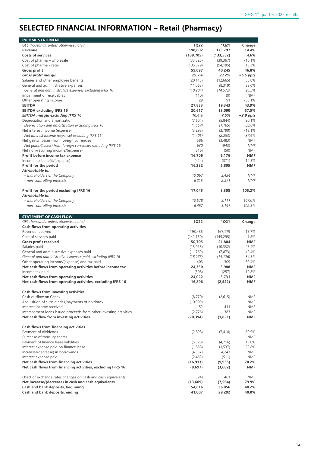# **SELECTED FINANCIAL INFORMATION – Retail (Pharmacy)**

| <b>INCOME STATEMENT</b>                                                                                               |                        |                       |                        |
|-----------------------------------------------------------------------------------------------------------------------|------------------------|-----------------------|------------------------|
| GEL thousands, unless otherwise noted                                                                                 | <b>1Q22</b>            | <b>1Q21</b>           | Change                 |
| <b>Revenue</b>                                                                                                        | 198,802                | 173,797               | 14.4%                  |
| <b>Costs of services</b>                                                                                              | (139, 705)             | (133, 552)            | 4.6%                   |
| Cost of pharma - wholesale<br>Cost of pharma - retail                                                                 | (33,026)<br>(106, 679) | (39, 367)             | $-16.1%$<br>13.3%      |
| <b>Gross profit</b>                                                                                                   | 59,097                 | (94, 185)<br>40,245   | 46.8%                  |
| <b>Gross profit margin</b>                                                                                            | 29.7%                  | 23.2%                 | $+6.5$ ppts            |
| Salaries and other employee benefits                                                                                  | (20, 115)              | (12, 665)             | 58.8%                  |
| General and administrative expenses                                                                                   | (11,068)               | (8, 319)              | 33.0%                  |
| General and administrative expenses excluding IFRS 16                                                                 | (18, 284)              | (14, 572)             | 25.5%                  |
| Impairment of receivables                                                                                             | (110)                  | (9)                   | <b>NMF</b>             |
| Other operating income                                                                                                | 29                     | 91                    | $-68.1%$               |
| <b>EBITDA</b>                                                                                                         | 27,833                 | 19,343                | 43.9%                  |
| <b>EBITDA excluding IFRS 16</b>                                                                                       | 20,617                 | 13,090                | 57.5%                  |
| <b>EBITDA margin excluding IFRS 16</b>                                                                                | 10.4%                  | 7.5%                  | $+2.9$ ppts            |
| Depreciation and amortization                                                                                         | (7,604)                | (5,844)               | 30.1%                  |
| Depreciation and amortization excluding IFRS 16                                                                       | (1, 557)               | (1, 165)              | 33.6%                  |
| Net interest income (expense)                                                                                         | (3,293)                | (3,790)               | $-13.1%$               |
| Net interest income (expense) excluding IFRS 16<br>Net gains/(losses) from foreign currencies                         | (1,405)<br>586         | (2, 253)<br>(3,483)   | $-37.6%$<br><b>NMF</b> |
| Net gains/(losses) from foreign currencies excluding IFRS 16                                                          | 630                    | (943)                 | <b>NMF</b>             |
| Net non-recurring income/(expense)                                                                                    | (816)                  | (50)                  | <b>NMF</b>             |
| Profit before income tax expense                                                                                      | 16,706                 | 6,176                 | <b>NMF</b>             |
| Income tax benefit/(expense)                                                                                          | (424)                  | (371)                 | 14.3%                  |
| Profit for the period                                                                                                 | 16,282                 | 5,805                 | <b>NMF</b>             |
| Attributable to:                                                                                                      |                        |                       |                        |
| - shareholders of the Company                                                                                         | 10,067                 | 3,434                 | <b>NMF</b>             |
| - non-controlling interests                                                                                           | 6,215                  | 2,371                 | <b>NMF</b>             |
| Profit for the period excluding IFRS 16                                                                               | 17,045                 | 8,308                 | 105.2%                 |
| Attributable to:                                                                                                      |                        |                       |                        |
| - shareholders of the Company                                                                                         | 10,578                 | 5,111                 | 107.0%                 |
| - non-controlling interests                                                                                           | 6,467                  | 3,197                 | 102.3%                 |
|                                                                                                                       |                        |                       |                        |
|                                                                                                                       |                        |                       |                        |
| <b>STATEMENT OF CASH FLOW</b>                                                                                         |                        |                       |                        |
| GEL thousands, unless otherwise noted                                                                                 | <b>1Q22</b>            | <b>1Q21</b>           | Change                 |
| Cash flows from operating activities                                                                                  |                        |                       |                        |
| Revenue received                                                                                                      | 193,435                | 167,179               | 15.7%                  |
| Cost of services paid                                                                                                 | (142, 730)             | (145, 295)            | $-1.8%$<br><b>NMF</b>  |
| <b>Gross profit received</b><br>Salaries paid                                                                         | 50,705<br>(15,018)     | 21,884                | 45.4%                  |
| General and administrative expenses paid                                                                              | (11,760)               | (10, 332)<br>(7, 873) | 49.4%                  |
| General and administrative expenses paid, excluding IFRS 16                                                           | (18, 976)              | (14, 126)             | 34.3%                  |
| Other operating income/(expense) and tax paid                                                                         | 403                    | 309                   | 30.4%                  |
| Net cash flows from operating activities before income tax                                                            | 24,330                 | 3,988                 | <b>NMF</b>             |
| Income tax paid                                                                                                       | (308)                  | (257)                 | 19.8%                  |
| Net cash flows from operating activities                                                                              | 24,022                 | 3,731                 | <b>NMF</b>             |
| Net cash flows from operating activities, excluding IFRS 16                                                           | 16,806                 | (2,522)               | <b>NMF</b>             |
| <b>Cash flows from investing activities</b>                                                                           |                        |                       |                        |
| Cash outflow on Capex                                                                                                 | (8,770)                | (2,615)               | <b>NMF</b>             |
| Acquisition of subsidiaries/payments of holdback                                                                      | (10,000)               |                       | NMF                    |
| Interest income received                                                                                              | 1,152                  | 411                   | <b>NMF</b>             |
| Intersegment loans issued proceeds from other investing activities                                                    | (2,776)                | 383                   | NMF                    |
| Net cash flow from investing activities                                                                               | (20, 394)              | (1,821)               | NMF                    |
|                                                                                                                       |                        |                       |                        |
| <b>Cash flows from financing activities</b><br>Payment of dividends                                                   | (2,898)                | (7, 414)              | $-60.9%$               |
| Purchase of treasury shares                                                                                           |                        |                       | NMF                    |
| Payment of finance lease liabilities                                                                                  | (5, 328)               | (4, 716)              | 13.0%                  |
| Interest expense paid on finance lease                                                                                | (1,888)                | (1, 537)              | 22.8%                  |
| Increase/(decrease) in borrowings                                                                                     | (4, 337)               | 4,243                 | NMF                    |
| Interest expense paid                                                                                                 | (2,462)                | (511)                 | NMF                    |
| Net cash flows from financing activities                                                                              | (16, 913)              | (9,935)               | 70.2%                  |
| Net cash flows from financing activities, excluding IFRS 16                                                           | (9,697)                | (3,682)               | NMF                    |
|                                                                                                                       |                        |                       |                        |
| Effect of exchange rates changes on cash and cash equivalents<br>Net increase/(decrease) in cash and cash equivalents | (324)<br>(13,609)      | 461<br>(7, 564)       | <b>NMF</b><br>79.9%    |
| Cash and bank deposits, beginning                                                                                     | 54,616                 | 36,856                | 48.2%                  |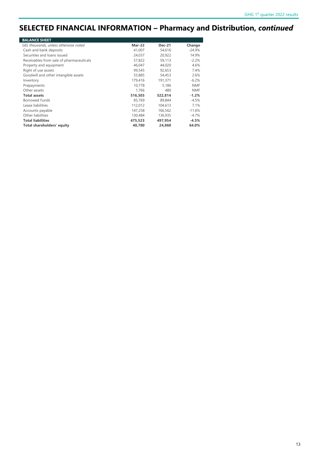### **SELECTED FINANCIAL INFORMATION – Pharmacy and Distribution,** *continued*

| <b>BALANCE SHEET</b>                     |               |               |            |
|------------------------------------------|---------------|---------------|------------|
| GEL thousands, unless otherwise noted    | <b>Mar-22</b> | <b>Dec-21</b> | Change     |
| Cash and bank deposits                   | 41,007        | 54.616        | $-24.9%$   |
| Securities and loans issued              | 24.037        | 20.922        | 14.9%      |
| Receivables from sale of pharmaceuticals | 57,822        | 59.113        | $-2.2%$    |
| Property and equipment                   | 46,047        | 44,020        | 4.6%       |
| Right of use assets                      | 99,545        | 92,653        | 7.4%       |
| Goodwill and other intangible assets     | 55,885        | 54,453        | 2.6%       |
| Inventory                                | 179,416       | 191,371       | $-6.2%$    |
| Prepayments                              | 10.778        | 5.186         | <b>NMF</b> |
| Other assets                             | 1.766         | 480           | <b>NMF</b> |
| <b>Total assets</b>                      | 516,303       | 522,814       | $-1.2%$    |
| <b>Borrowed Funds</b>                    | 85,769        | 89,844        | $-4.5%$    |
| Lease liabilities                        | 112,012       | 104,613       | 7.1%       |
| Accounts payable                         | 147,258       | 166,562       | $-11.6%$   |
| Other liabilities                        | 130,484       | 136,935       | $-4.7%$    |
| <b>Total liabilities</b>                 | 475,523       | 497,954       | $-4.5%$    |
| Total shareholders' equity               | 40,780        | 24,860        | 64.0%      |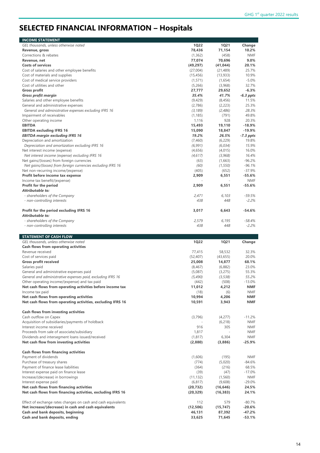# **SELECTED FINANCIAL INFORMATION – Hospitals**

| <b>INCOME STATEMENT</b>                                                |                  |                  |                      |
|------------------------------------------------------------------------|------------------|------------------|----------------------|
| GEL thousands, unless otherwise noted                                  | <b>1Q22</b>      | <b>1Q21</b>      | Change               |
| Revenue, gross                                                         | 78,436           | 71,154           | 10.2%                |
| Corrections & rebates                                                  | (1, 362)         | (458)            | <b>NMF</b>           |
| Revenue, net                                                           | 77,074           | 70,696           | 9.0%                 |
| <b>Costs of services</b>                                               | (49, 297)        | (41, 044)        | 20.1%                |
| Cost of salaries and other employee benefits                           | (27,004)         | (21, 489)        | 25.7%                |
| Cost of materials and supplies                                         | (15, 456)        | (13, 933)        | 10.9%                |
| Cost of medical service providers                                      | (1, 571)         | (1,654)          | $-5.0%$              |
| Cost of utilities and other                                            | (5,266)          | (3,968)          | 32.7%                |
| <b>Gross profit</b>                                                    | 27,777           | 29,652           | $-6.3%$              |
| <b>Gross profit margin</b>                                             | 35.4%            | 41.7%            | $-6.3$ ppts          |
| Salaries and other employee benefits                                   | (9,429)          | (8, 456)         | 11.5%                |
| General and administrative expenses                                    | (2,786)          | (2, 223)         | 25.3%                |
| General and administrative expenses excluding IFRS 16                  | (3, 189)         | (2,486)          | 28.3%                |
| Impairment of receivables                                              | (1, 185)         | (791)            | 49.8%                |
| Other operating income                                                 | 1,116            | 928              | 20.3%                |
| <b>EBITDA</b>                                                          | 15,493           | 19,110           | $-18.9%$             |
| <b>EBITDA excluding IFRS 16</b>                                        | 15,090           | 18,847           | $-19.9%$             |
| <b>EBITDA margin excluding IFRS 16</b>                                 | 19.2%            | 26.5%            | $-7.3$ ppts          |
| Depreciation and amortization                                          | (7,460)          | (6, 229)         | 19.8%                |
| Depreciation and amortization excluding IFRS 16                        | (6,991)          | (6,034)          | 15.9%                |
| Net interest income (expense)                                          | (4,656)          | (4,015)          | 16.0%                |
| Net interest income (expense) excluding IFRS 16                        | (4, 617)         | (3,968)          | 16.4%                |
| Net gains/(losses) from foreign currencies                             | (63)             | (1,663)          | $-96.2%$             |
| Net gains/(losses) from foreign currencies excluding IFRS 16           | (60)             | (1, 550)         | $-96.1%$             |
| Net non-recurring income/(expense)                                     | (405)            | (652)            | $-37.9%$             |
| Profit before income tax expense                                       | 2,909            | 6,551            | -55.6%               |
| Income tax benefit/(expense)                                           |                  |                  | <b>NMF</b>           |
| Profit for the period                                                  | 2,909            | 6,551            | $-55.6%$             |
| Attributable to:                                                       |                  |                  |                      |
| - shareholders of the Company                                          | 2,471            | 6,103            | $-59.5%$             |
| - non-controlling interests                                            | 438              | 448              | $-2.2%$              |
| Profit for the period excluding IFRS 16                                | 3,017            | 6,643            | $-54.6%$             |
| Attributable to:                                                       |                  |                  |                      |
| - shareholders of the Company                                          | 2,579            | 6,195            | $-58.4%$             |
| - non-controlling interests                                            | 438              | 448              | $-2.2%$              |
|                                                                        |                  |                  |                      |
|                                                                        |                  |                  |                      |
|                                                                        |                  |                  |                      |
| <b>STATEMENT OF CASH FLOW</b><br>GEL thousands, unless otherwise noted | <b>1Q22</b>      | <b>1Q21</b>      |                      |
|                                                                        |                  |                  | Change               |
| <b>Cash flows from operating activities</b><br>Revenue received        | 77,415           | 58,532           | 32.3%                |
| Cost of services paid                                                  |                  |                  | 20.0%                |
|                                                                        | (52, 407)        | (43, 655)        |                      |
| <b>Gross profit received</b>                                           | 25,008           | 14,877           | 68.1%<br>23.0%       |
| Salaries paid                                                          | (8, 467)         | (6,882)          |                      |
| General and administrative expenses paid                               | (5,087)          | (3,275)          | 55.3%                |
| General and administrative expenses paid, excluding IFRS 16            | (5, 490)         | (3, 538)         | 55.2%                |
| Other operating income/(expense) and tax paid                          | (442)            | (508)            | $-13.0%$             |
| Net cash flows from operating activities before income tax             | 11,012           | 4,212            | <b>NMF</b>           |
| Income tax paid                                                        | (18)             | (6)              | NMF                  |
| Net cash flows from operating activities                               | 10,994           | 4,206            | <b>NMF</b>           |
| Net cash flows from operating activities, excluding IFRS 16            | 10,591           | 3,943            | NMF                  |
| <b>Cash flows from investing activities</b>                            |                  |                  |                      |
| Cash outflow on Capex                                                  | (3,796)          | (4,277)          | $-11.2%$             |
| Acquisition of subsidiaries/payments of holdback                       |                  | (6, 218)         | <b>NMF</b>           |
| Interest income received                                               | 916              | 305              | NMF                  |
| Proceeds from sale of associate/subsidiary                             | 1,817            |                  | NMF                  |
| Dividends and intersegment loans issued/received                       | (1, 817)         | 6,304            | NMF                  |
| Net cash flow from investing activities                                | (2,880)          | (3,886)          | $-25.9%$             |
|                                                                        |                  |                  |                      |
| <b>Cash flows from financing activities</b>                            |                  |                  |                      |
| Payment of dividends                                                   | (1,606)          | (195)            | <b>NMF</b>           |
| Purchase of treasury shares                                            | (774)            | (5,020)          | $-84.6%$             |
| Payment of finance lease liabilities                                   | (364)            | (216)            | 68.5%                |
| Interest expense paid on finance lease                                 | (39)             | (47)             | $-17.0%$             |
| Increase/(decrease) in borrowings                                      | (11, 132)        | (1, 560)         | NMF                  |
| Interest expense paid                                                  | (6, 817)         | (9,608)          | $-29.0%$             |
| Net cash flows from financing activities                               | (20, 732)        | (16, 646)        | 24.5%                |
| Net cash flows from financing activities, excluding IFRS 16            | (20, 329)        | (16, 383)        | 24.1%                |
| Effect of exchange rates changes on cash and cash equivalents          | 112              | 579              | $-80.7%$             |
| Net increase/(decrease) in cash and cash equivalents                   | (12, 506)        | (15, 747)        | $-20.6%$             |
| Cash and bank deposits, beginning<br>Cash and bank deposits, ending    | 46,131<br>33,625 | 87,392<br>71,645 | $-47.2%$<br>$-53.1%$ |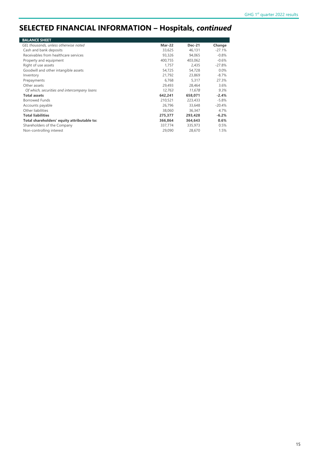# **SELECTED FINANCIAL INFORMATION – Hospitals,** *continued*

| <b>BALANCE SHEET</b>                        |         |               |          |
|---------------------------------------------|---------|---------------|----------|
| GEL thousands, unless otherwise noted       | Mar-22  | <b>Dec-21</b> | Change   |
| Cash and bank deposits                      | 33,625  | 46,131        | $-27.1%$ |
| Receivables from healthcare services        | 93,326  | 94,065        | $-0.8%$  |
| Property and equipment                      | 400,755 | 403,062       | $-0.6%$  |
| Right of use assets                         | 1.757   | 2,435         | $-27.8%$ |
| Goodwill and other intangible assets        | 54,725  | 54,728        | 0.0%     |
| Inventory                                   | 21.792  | 23.869        | $-8.7\%$ |
| Prepayments                                 | 6,768   | 5,317         | 27.3%    |
| Other assets                                | 29,493  | 28,464        | $3.6\%$  |
| Of which, securities and intercompany loans | 12,763  | 11,678        | 9.3%     |
| <b>Total assets</b>                         | 642.241 | 658,071       | $-2.4%$  |
| <b>Borrowed Funds</b>                       | 210,521 | 223,433       | $-5.8%$  |
| Accounts payable                            | 26,796  | 33,648        | $-20.4%$ |
| Other liabilities                           | 38,060  | 36,347        | 4.7%     |
| <b>Total liabilities</b>                    | 275,377 | 293,428       | $-6.2%$  |
| Total shareholders' equity attributable to: | 366,864 | 364,643       | 0.6%     |
| Shareholders of the Company                 | 337,774 | 335,973       | 0.5%     |
| Non-controlling interest                    | 29,090  | 28,670        | 1.5%     |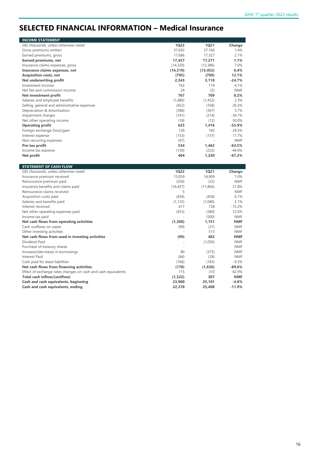### **SELECTED FINANCIAL INFORMATION – Medical Insurance**

| GEL thousands, unless otherwise noted                               | <b>1Q22</b>        | <b>1Q21</b>   | Change                |
|---------------------------------------------------------------------|--------------------|---------------|-----------------------|
| Gross premiums written                                              | 37,692             | 37,166        | 1.4%                  |
| Earned premiums, gross                                              | 17,686             | 17,327        | 2.1%                  |
| Earned premiums, net                                                | 17,457             | 17,271        | 1.1%                  |
| Insurance claims expenses, gross                                    | (14, 320)          | (13, 386)     | 7.0%                  |
| Insurance claims expenses, net                                      | (14, 319)          | (13, 452)     | 6.4%                  |
| <b>Acquisition costs, net</b>                                       | (795)              | (709)         | 12.1%                 |
| Net underwriting profit                                             | 2,343              | 3,110         | $-24.7%$              |
| Investment income                                                   | 743                | 714           | 4.1%                  |
| Net fee and commission income                                       | 24                 | (5)           | <b>NMF</b>            |
| Net investment profit                                               | 767                | 709           | 8.2%                  |
| Salaries and employee benefits                                      | (1,486)            | (1,452)       | 2.3%                  |
| Selling, general and administrative expenses                        | (452)              | (358)         | 26.3%                 |
| Depreciation & Amortisation                                         | (388)              | (367)         | 5.7%                  |
| Impairment charges                                                  | (141)              | (214)         | $-34.1%$              |
| Net other operating income                                          | (18)               | (12)          | 50.0%                 |
| <b>Operating profit</b>                                             | 625                | 1,416         | $-55.9%$              |
| Foreign exchange (loss)/gain                                        | 129                | 183           | $-29.5%$              |
| Interest expense                                                    | (153)              | (137)         | 11.7%                 |
| Non-recurring expenses                                              | (67)               |               | <b>NMF</b>            |
| Pre-tax profit                                                      | 534                | 1,462         | $-63.5%$              |
| Income tax expense                                                  | (130)              | (232)         | $-44.0%$              |
| Net profit                                                          | 404                | 1,230         | $-67.2%$              |
|                                                                     |                    |               |                       |
| <b>STATEMENT OF CASH FLOW</b>                                       |                    |               |                       |
| GEL thousands, unless otherwise noted                               | <b>1Q22</b>        | <b>1Q21</b>   | Change                |
| Insurance premium received                                          | 15,059             | 14,909        | 1.0%                  |
| Reinsurance premium paid                                            | (350)              | (32)          | <b>NMF</b>            |
| Insurance benefits and claims paid                                  | (14, 457)          | (11, 866)     | 21.8%                 |
| Reinsurance claims received                                         | 5                  |               | <b>NMF</b>            |
| Acquisition costs paid                                              | (454)              | (428)         | 6.1%                  |
| Salaries and benefits paid                                          | (1, 135)           | (1,080)       | 5.1%                  |
| Interest received                                                   | 617                | 728           | $-15.2%$              |
| Net other operating expenses paid                                   |                    |               |                       |
|                                                                     |                    |               | 12.6%                 |
|                                                                     | (653)              | (580)         | <b>NMF</b>            |
| Income tax paid                                                     |                    | (500)         | <b>NMF</b>            |
| Net cash flows from operating activities                            | (1, 368)           | 1,151         | <b>NMF</b>            |
| Cash outflows on capex                                              | (99)               | (31)<br>513   | <b>NMF</b>            |
| Other investing activities                                          |                    | 482           | <b>NMF</b>            |
| Net cash flows from used in investing activities                    | (99)               |               |                       |
| Dividend Paid                                                       |                    | (1,050)       | <b>NMF</b>            |
| Purchase of treasury shares                                         |                    |               | <b>NMF</b>            |
| Increase/(decrease) in borrowings                                   | 80                 | (375)         | <b>NMF</b>            |
| <b>Interest Paid</b>                                                | (84)               | (28)          | <b>NMF</b>            |
| Cash paid for lease liabilities                                     | (166)              | (183)         | $-9.3%$               |
| Net cash flows from financing activities                            | (170)              | (1,636)       | $-89.6%$              |
| Effect of exchange rates changes on cash and cash equivalents       | 115                | 310           | $-62.9%$              |
| Total cash inflow/(outflow)<br>Cash and cash equivalents, beginning | (1, 522)<br>23,900 | 307<br>25,101 | <b>NMF</b><br>$-4.8%$ |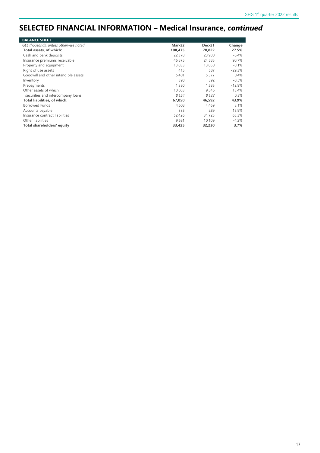### **SELECTED FINANCIAL INFORMATION – Medical Insurance,** *continued*

| <b>BALANCE SHEET</b>                  |         |               |          |
|---------------------------------------|---------|---------------|----------|
| GEL thousands, unless otherwise noted | Mar-22  | <b>Dec-21</b> | Change   |
| Total assets, of which:               | 100,475 | 78,822        | 27.5%    |
| Cash and bank deposits                | 22,378  | 23,900        | $-6.4%$  |
| Insurance premiums receivable         | 46.875  | 24,585        | 90.7%    |
| Property and equipment                | 13,033  | 13,050        | $-0.1%$  |
| Right of use assets                   | 415     | 587           | $-29.3%$ |
| Goodwill and other intangible assets  | 5,401   | 5,377         | 0.4%     |
| Inventory                             | 390     | 392           | $-0.5%$  |
| Prepayments                           | 1,380   | 1.585         | $-12.9%$ |
| Other assets of which:                | 10,603  | 9.346         | 13.4%    |
| securities and intercompany loans     | 8.154   | 8.133         | 0.3%     |
| Total liabilities, of which:          | 67,050  | 46,592        | 43.9%    |
| <b>Borrowed Funds</b>                 | 4.608   | 4.469         | 3.1%     |
| Accounts payable                      | 335     | 289           | 15.9%    |
| Insurance contract liabilities        | 52,426  | 31,725        | 65.3%    |
| Other liabilities                     | 9.681   | 10.109        | $-4.2%$  |
| Total shareholders' equity            | 33,425  | 32,230        | 3.7%     |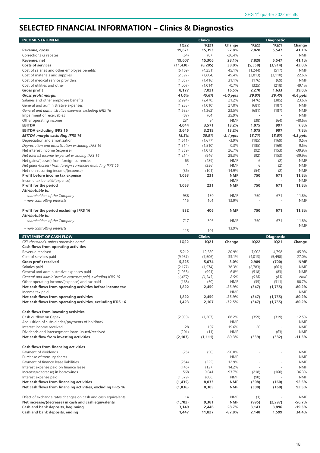# **SELECTED FINANCIAL INFORMATION – Clinics & Diagnostics**

| <b>INCOME STATEMENT</b>                                                                                 |                    | <b>Clinics</b>      |                          |                  | <b>Diagnostic</b>        |                          |
|---------------------------------------------------------------------------------------------------------|--------------------|---------------------|--------------------------|------------------|--------------------------|--------------------------|
|                                                                                                         | <b>1Q22</b>        | <b>1Q21</b>         | Change                   | <b>1Q22</b>      | <b>1Q21</b>              | Change                   |
| Revenue, gross                                                                                          | 19,671             | 15,393              | 27.8%                    | 7,828            | 5,547                    | 41.1%                    |
| Corrections & rebates                                                                                   | (64)               | (87)                | $-26.4%$                 |                  |                          | <b>NMF</b>               |
| Revenue, net                                                                                            | 19,607             | 15,306              | 28.1%                    | 7,828            | 5,547                    | 41.1%                    |
| <b>Costs of services</b>                                                                                | (11, 430)          | (8, 285)            | 38.0%                    | (5, 558)         | (3, 914)                 | 42.0%                    |
| Cost of salaries and other employee benefits<br>Cost of materials and supplies                          | (6, 169)           | (4,251)             | 45.1%                    | (1,244)          | (517)                    | <b>NMF</b>               |
| Cost of medical service providers                                                                       | (2, 397)           | (1,604)             | 49.4%<br>31.1%           | (3,813)<br>(176) | (3, 110)<br>(69)         | 22.6%<br><b>NMF</b>      |
| Cost of utilities and other                                                                             | (1,857)<br>(1,007) | (1, 416)<br>(1,014) | $-0.7%$                  | (325)            | (218)                    | 49.1%                    |
| <b>Gross profit</b>                                                                                     | 8,177              | 7,021               | 16.5%                    | 2,270            | 1,633                    | 39.0%                    |
| <b>Gross profit margin</b>                                                                              | 41.6%              | 45.6%               | $-4.0$ ppts              | 29.0%            | 29.4%                    | $-0.4$ ppts              |
| Salaries and other employee benefits                                                                    | (2,994)            | (2,470)             | 21.2%                    | (476)            | (385)                    | 23.6%                    |
| General and administrative expenses                                                                     | (1,283)            | (1,010)             | 27.0%                    | (681)            | (187)                    | <b>NMF</b>               |
| General and administrative expenses excluding IFRS 16                                                   | (1,682)            | (1, 362)            | 23.5%                    | (681)            | (187)                    | <b>NMF</b>               |
| Impairment of receivables                                                                               | (87)               | (64)                | 35.9%                    | ÷,               | $\overline{\phantom{a}}$ | <b>NMF</b>               |
| Other operating income                                                                                  | 231                | 94                  | <b>NMF</b>               | (38)             | (64)                     | $-40.6%$                 |
| <b>EBITDA</b>                                                                                           | 4,044              | 3,571               | 13.2%                    | 1,075            | 997                      | 7.8%                     |
| <b>EBITDA excluding IFRS 16</b>                                                                         | 3,645              | 3,219               | 13.2%                    | 1,075            | 997                      | 7.8%                     |
| <b>EBITDA margin excluding IFRS 16</b>                                                                  | 18.5%              | 20.9%               | $-2.4$ ppts              | 13.7%            | 18.0%                    | $-4.3$ ppts              |
| Depreciation and amortization                                                                           | (1,611)            | (1,677)             | $-3.9%$                  | (185)            | (169)                    | 9.5%                     |
| Depreciation and amortization excluding IFRS 16                                                         | (1, 514)           | (1, 510)            | 0.3%                     | (185)            | (169)                    | 9.5%                     |
| Net interest income (expense)                                                                           | (1, 359)           | (1,073)             | 26.7%                    | (92)             | (153)                    | $-39.9%$                 |
| Net interest income (expense) excluding IFRS 16                                                         | (1,214)            | (946)               | 28.3%                    | (92)             | (153)                    | $-39.9%$                 |
| Net gains/(losses) from foreign currencies                                                              | 65<br>$\mathbf{1}$ | (489)               | <b>NMF</b><br><b>NMF</b> | 6<br>6           | (2)                      | <b>NMF</b>               |
| Net gains/(losses) from foreign currencies excluding IFRS 16<br>Net non-recurring income/(expense)      | (86)               | (256)<br>(101)      | $-14.9%$                 | (54)             | (2)<br>(2)               | <b>NMF</b><br><b>NMF</b> |
| Profit before income tax expense                                                                        | 1,053              | 231                 | <b>NMF</b>               | 750              | 671                      | 11.8%                    |
| Income tax benefit/(expense)                                                                            |                    |                     | <b>NMF</b>               |                  | $\sim$                   | <b>NMF</b>               |
| Profit for the period                                                                                   | 1,053              | 231                 | <b>NMF</b>               | 750              | 671                      | 11.8%                    |
| Attributable to:                                                                                        |                    |                     |                          |                  |                          |                          |
| - shareholders of the Company                                                                           | 938                | 130                 | <b>NMF</b>               | 750              | 671                      | 11.8%                    |
| - non-controlling interests                                                                             | 115                | 101                 | 13.9%                    |                  |                          | <b>NMF</b>               |
|                                                                                                         |                    |                     |                          |                  |                          |                          |
| Profit for the period excluding IFRS 16                                                                 | 832                | 406                 | <b>NMF</b>               | 750              | 671                      | 11.8%                    |
| Attributable to:                                                                                        |                    |                     |                          |                  |                          |                          |
| - shareholders of the Company                                                                           | 717                | 305                 | <b>NMF</b>               | 750              | 671                      | 11.8%                    |
|                                                                                                         |                    |                     |                          |                  |                          | <b>NMF</b>               |
| - non-controlling interests                                                                             |                    |                     | 13.9%                    |                  |                          |                          |
|                                                                                                         | 115                | 101                 |                          |                  | $\overline{\phantom{a}}$ |                          |
| <b>STATEMENT OF CASH FLOW</b>                                                                           |                    | <b>Clinics</b>      |                          |                  | <b>Diagnostic</b>        |                          |
| GEL thousands, unless otherwise noted                                                                   | <b>1Q22</b>        | <b>1Q21</b>         | Change                   | <b>1Q22</b>      | <b>1Q21</b>              | Change                   |
| <b>Cash flows from operating activities</b><br>Revenue received                                         | 15,212             | 12,580              | 20.9%                    | 7,002            | 4,798                    | 45.9%                    |
| Cost of services paid                                                                                   | (9,987)            | (7, 506)            | 33.1%                    | (4,013)          | (5,498)                  | $-27.0%$                 |
| <b>Gross profit received</b>                                                                            | 5,225              | 5,074               | 3.0%                     | 2,989            | (700)                    | <b>NMF</b>               |
| Salaries paid                                                                                           | (2, 177)           | (1, 574)            | 38.3%                    | (2,783)          | (661)                    | <b>NMF</b>               |
| General and administrative expenses paid                                                                | (1,058)            | (991)               | 6.8%                     | (518)            | (83)                     | <b>NMF</b>               |
| General and administrative expenses paid, excluding IFRS 16                                             | (1, 457)           | (1, 343)            | 8.5%                     | (518)            | (83)                     | NMF                      |
| Other operating income/(expense) and tax paid                                                           | (168)              | (50)                | <b>NMF</b>               | (35)             | (311)                    | $-88.7%$                 |
| Net cash flows from operating activities before income tax                                              | 1,822              | 2,459               | $-25.9%$                 | (347)            | (1,755)                  | $-80.2%$                 |
| Income tax paid                                                                                         |                    |                     | NMF                      |                  |                          | NMF                      |
| Net cash flows from operating activities                                                                | 1,822              | 2,459               | $-25.9%$                 | (347)            | (1,755)                  | $-80.2%$                 |
| Net cash flows from operating activities, excluding IFRS 16                                             | 1,423              | 2,107               | -32.5%                   | (347)            | (1,755)                  | $-80.2%$                 |
|                                                                                                         |                    |                     |                          |                  |                          |                          |
| <b>Cash flows from investing activities</b>                                                             |                    |                     |                          |                  |                          |                          |
| Cash outflow on Capex                                                                                   | (2,030)            | (1, 207)            | 68.2%                    | (359)            | (319)                    | 12.5%                    |
| Acquisition of subsidiaries/payments of holdback<br>Interest income received                            | 128                | 107                 | <b>NMF</b><br>19.6%      | 20               | $\overline{\phantom{a}}$ | <b>NMF</b><br>NMF        |
| Dividends and intersegment loans issued/received                                                        | (201)              | (11)                | <b>NMF</b>               |                  | (63)                     | NMF                      |
| Net cash flow from investing activities                                                                 | (2, 103)           | (1, 111)            | 89.3%                    | (339)            | (382)                    | $-11.3%$                 |
|                                                                                                         |                    |                     |                          |                  |                          |                          |
| <b>Cash flows from financing activities</b>                                                             |                    |                     |                          |                  |                          |                          |
| Payment of dividends                                                                                    | (25)               | (50)                | $-50.0%$                 |                  |                          | <b>NMF</b>               |
| Purchase of treasury shares                                                                             |                    | ×,                  | <b>NMF</b>               |                  | $\overline{\phantom{a}}$ | <b>NMF</b>               |
| Payment of finance lease liabilities                                                                    | (254)              | (225)               | 12.9%                    |                  |                          | <b>NMF</b>               |
| Interest expense paid on finance lease                                                                  | (145)              | (127)               | 14.2%                    |                  | $\overline{\phantom{a}}$ | NMF                      |
| Increase/(decrease) in borrowings                                                                       | 568                | 9,041               | $-93.7%$                 | (218)            | (160)                    | 36.3%                    |
| Interest expense paid                                                                                   | (1, 579)           | (606)               | <b>NMF</b>               | (90)             |                          | <b>NMF</b>               |
| Net cash flows from financing activities<br>Net cash flows from financing activities, excluding IFRS 16 | (1,435)<br>(1,036) | 8,033<br>8,385      | <b>NMF</b><br><b>NMF</b> | (308)<br>(308)   | (160)<br>(160)           | 92.5%<br>92.5%           |
|                                                                                                         |                    |                     |                          |                  |                          |                          |
| Effect of exchange rates changes on cash and cash equivalents                                           | 14                 |                     | <b>NMF</b>               | (1)              |                          | <b>NMF</b>               |
| Net increase/(decrease) in cash and cash equivalents                                                    | (1, 702)           | 9,381               | <b>NMF</b>               | (995)            | (2, 297)                 | $-56.7%$                 |
| Cash and bank deposits, beginning<br>Cash and bank deposits, ending                                     | 3,149<br>1,447     | 2,446<br>11,827     | 28.7%<br>-87.8%          | 3,143<br>2,148   | 3,896<br>1,599           | $-19.3%$<br>34.4%        |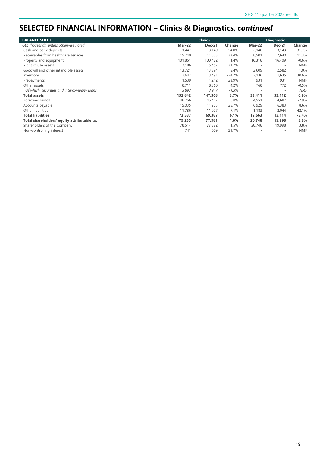# **SELECTED FINANCIAL INFORMATION – Clinics & Diagnostics,** *continued*

| <b>BALANCE SHEET</b>                        |               | <b>Clinics</b> |          |                          | <b>Diagnostic</b>        |            |
|---------------------------------------------|---------------|----------------|----------|--------------------------|--------------------------|------------|
| GEL thousands, unless otherwise noted       | <b>Mar-22</b> | <b>Dec-21</b>  | Change   | <b>Mar-22</b>            | <b>Dec-21</b>            | Change     |
| Cash and bank deposits                      | 1,447         | 3,149          | $-54.0%$ | 2,148                    | 3,143                    | $-31.7%$   |
| Receivables from healthcare services        | 15,740        | 11,803         | 33.4%    | 8,501                    | 7,640                    | 11.3%      |
| Property and equipment                      | 101,851       | 100,472        | 1.4%     | 16,318                   | 16,409                   | $-0.6%$    |
| Right of use assets                         | 7,186         | 5,457          | 31.7%    |                          | $\overline{\phantom{a}}$ | <b>NMF</b> |
| Goodwill and other intangible assets        | 13,721        | 13,394         | 2.4%     | 2,609                    | 2,582                    | 1.0%       |
| Inventory                                   | 2,647         | 3,491          | $-24.2%$ | 2,136                    | 1,635                    | 30.6%      |
| Prepayments                                 | 1,539         | 1,242          | 23.9%    | 931                      | 931                      | <b>NMF</b> |
| Other assets                                | 8,711         | 8,360          | 4.2%     | 768                      | 772                      | $-0.5%$    |
| Of which, securities and intercompany loans | 3,897         | 3,947          | $-1.3%$  | $\overline{\phantom{a}}$ | $\overline{\phantom{a}}$ | <b>NMF</b> |
| <b>Total assets</b>                         | 152,842       | 147,368        | 3.7%     | 33,411                   | 33,112                   | 0.9%       |
| Borrowed Funds                              | 46,766        | 46,417         | 0.8%     | 4,551                    | 4,687                    | $-2.9%$    |
| Accounts payable                            | 15,035        | 11,963         | 25.7%    | 6,929                    | 6,383                    | 8.6%       |
| Other liabilities                           | 11,786        | 11,007         | 7.1%     | 1,183                    | 2,044                    | $-42.1%$   |
| <b>Total liabilities</b>                    | 73,587        | 69,387         | 6.1%     | 12,663                   | 13,114                   | $-3.4%$    |
| Total shareholders' equity attributable to: | 79,255        | 77,981         | 1.6%     | 20,748                   | 19,998                   | 3.8%       |
| Shareholders of the Company                 | 78,514        | 77,372         | 1.5%     | 20,748                   | 19,998                   | 3.8%       |
| Non-controlling interest                    | 741           | 609            | 21.7%    |                          | $\overline{\phantom{a}}$ | <b>NMF</b> |